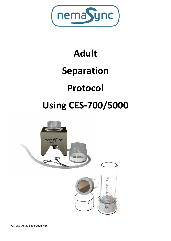

# **Adult Separation Protocol Using CES-700/5000**

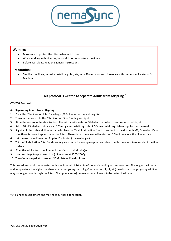

# **Warning:**

- Make sure to protect the filters when not in use.
- When working with pipettes, be careful not to puncture the filters.
- Before use, please read the general instructions.

## **Preparation:**

 Sterilize the filters, funnel, crystallizing dish, etc, with 70% ethanol and rinse once with sterile, demi water or S-Medium.

# **This protocol is written to separate Adults from offspring \***

### **CES-700 Protocol:**

- **A: Separating Adults from offspring**
- 1. Place the "Stabilization filter" in a large (200mL or more) crystalizing dish.
- 2. Transfer the worms to the "Stabilization Filter" with glass pipet.
- 3. Rinse the worms in the stabilization filter with sterile water or S Medium in order to remove most debris, etc.
- 4. Add ~10ml S Medium into a clean ~20mL glass crystalizing dish. A 50mm crystalizing dish as supplied can be used.
- 5. Slightly tilt the dish and filter and slowly place the "Stabilization filter" and its content in the dish with M9/ S-media. Make sure there is no air trapped under the filter! There should be a few millimeters of S Medium above the filter surface.
- 6. Let the worms sediment for 5 up to 15 minutes (or even longer).
- 7. Tilt the "Stabilization Filter" and carefully wash with for example a pipet and clean media the adults to one side of the filter surface.
- 8. Pipet the adults from the filter and transfer to conical tube(s).
- 9. Use centrifuge to spin down L1's (~5 minutes at 1200-2000g)
- 10. Transfer worm pellet to seeded NGM plate or liquid culture.

This procedure should be repeated within an interval of 24 up to 48 hours depending on temperature. The longer the interval and temperature the higher the chances are that young hatchlings/nematodes (L1, L2, etc) develop in to larger young adult and may no longer pass through the filter. The optimal (max) time-window still needs to be tested / validated.

\* still under development and may need further optimization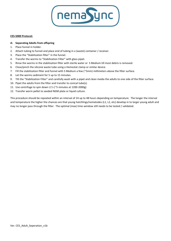

### **CES-5000 Protocol:**

# **A: Separating Adults from offspring**

- 1. Place funnel in holder.
- 2. Attach tubing to funnel and place end of tubing in a (waste) container / receiver.
- 3. Place the "Stabilization filter" in the funnel.
- 4. Transfer the worms to "Stabilization Filter" with glass pipet.
- 5. Rinse the worms in the stabilization filter with sterile water or S Medium till most debris is removed.
- 6. Close/pinch the silicone waste tube using a Hemostat clamp or similar device.
- 7. Fill the stabilization filter and funnel with S Medium a few (~5mm) millimeters above the filter surface.
- 8. Let the worms sediment for 5 up to 15 minutes.
- 9. Tilt the "Stabilization Filter" and carefully wash with a pipet and clean media the adults to one side of the filter surface.
- 10. Pipet the adults from the filter and transfer to conical tube(s).
- 11. Use centrifuge to spin down L1's (~5 minutes at 1200-2000g)
- 12. Transfer worm pellet to seeded NGM plate or liquid culture.

This procedure should be repeated within an interval of 24 up to 48 hours depending on temperature. The longer the interval and temperature the higher the chances are that young hatchlings/nematodes (L1, L2, etc) develop in to larger young adult and may no longer pass through the filter. The optimal (max) time-window still needs to be tested / validated.